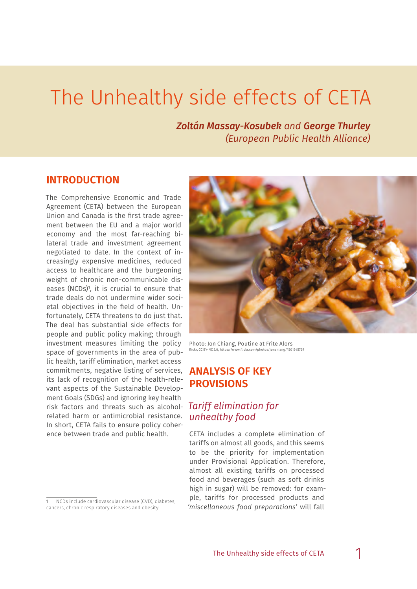# The Unhealthy side effects of CETA

*Zoltán Massay-Kosubek and George Thurley (European Public Health Alliance)*

## **INTRODUCTION**

The Comprehensive Economic and Trade Agreement (CETA) between the European Union and Canada is the first trade agreement between the EU and a major world economy and the most far-reaching bilateral trade and investment agreement negotiated to date. In the context of increasingly expensive medicines, reduced access to healthcare and the burgeoning weight of chronic non-communicable diseases (NCDs)<sup>1</sup>, it is crucial to ensure that trade deals do not undermine wider societal objectives in the field of health. Unfortunately, CETA threatens to do just that. The deal has substantial side effects for people and public policy making; through investment measures limiting the policy space of governments in the area of public health, tariff elimination, market access commitments, negative listing of services, its lack of recognition of the health-relevant aspects of the Sustainable Development Goals (SDGs) and ignoring key health risk factors and threats such as alcoholrelated harm or antimicrobial resistance. In short, CETA fails to ensure policy coherence between trade and public health.



Photo: Jon Chiang, Poutine at Frite Alors flickr, [CC BY-NC 2.0,](https://creativecommons.org/licenses/by-nc/2.0/) <https://www.flickr.com/photos/jonchiang/4501545769>

## **ANALYSIS OF KEY PROVISIONS**

## *Tariff elimination for unhealthy food*

CETA includes a complete elimination of tariffs on almost all goods, and this seems to be the priority for implementation under Provisional Application. Therefore, almost all existing tariffs on processed food and beverages (such as soft drinks high in sugar) will be removed: for example, tariffs for processed products and *'miscellaneous food preparations'* will fall

<sup>1</sup> NCDs include cardiovascular disease (CVD), diabetes, cancers, chronic respiratory diseases and obesity.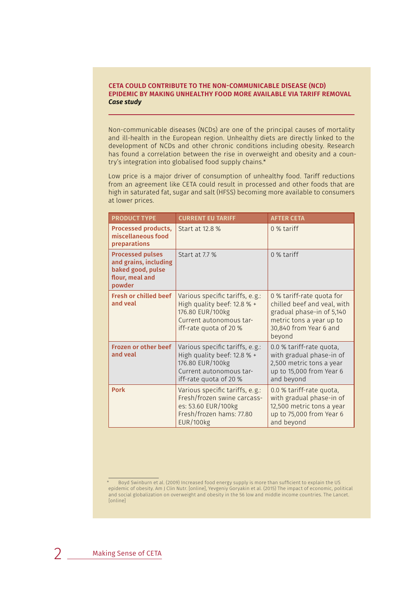#### **CETA COULD CONTRIBUTE TO THE NON-COMMUNICABLE DISEASE (NCD) EPIDEMIC BY MAKING UNHEALTHY FOOD MORE AVAILABLE VIA TARIFF REMOVAL** *Case study*

Non-communicable diseases (NCDs) are one of the principal causes of mortality and ill-health in the European region. Unhealthy diets are directly linked to the development of NCDs and other chronic conditions including obesity. Research has found a correlation between the rise in overweight and obesity and a country's integration into globalised food supply chains.\*

Low price is a major driver of consumption of unhealthy food. Tariff reductions from an agreement like CETA could result in processed and other foods that are high in saturated fat, sugar and salt (HFSS) becoming more available to consumers at lower prices.

| <b>PRODUCT TYPE</b>                                                                                | <b>CURRENT EU TARIFF</b>                                                                                                                | <b>AFTER CETA</b>                                                                                                                                     |
|----------------------------------------------------------------------------------------------------|-----------------------------------------------------------------------------------------------------------------------------------------|-------------------------------------------------------------------------------------------------------------------------------------------------------|
| <b>Processed products,</b><br>miscellaneous food<br>preparations                                   | Start at 12.8 %                                                                                                                         | 0 % tariff                                                                                                                                            |
| <b>Processed pulses</b><br>and grains, including<br>baked good, pulse<br>flour, meal and<br>powder | Start at 7.7 %                                                                                                                          | $0$ % tariff                                                                                                                                          |
| <b>Fresh or chilled beef</b><br>and veal                                                           | Various specific tariffs, e.g.:<br>High quality beef: 12.8 % +<br>176.80 EUR/100kg<br>Current autonomous tar-<br>iff-rate quota of 20 % | 0 % tariff-rate quota for<br>chilled beef and veal, with<br>gradual phase-in of 5,140<br>metric tons a year up to<br>30,840 from Year 6 and<br>beyond |
| <b>Frozen or other beef</b><br>and veal                                                            | Various specific tariffs, e.g.:<br>High quality beef: 12.8 % +<br>176.80 EUR/100kg<br>Current autonomous tar-<br>iff-rate quota of 20 % | 0.0 % tariff-rate quota,<br>with gradual phase-in of<br>2,500 metric tons a year<br>up to 15,000 from Year 6<br>and beyond                            |
| <b>Pork</b>                                                                                        | Various specific tariffs, e.g.:<br>Fresh/frozen swine carcass-<br>es: 53.60 EUR/100kg<br>Fresh/frozen hams: 77.80<br><b>EUR/100kg</b>   | 0.0 % tariff-rate quota,<br>with gradual phase-in of<br>12,500 metric tons a year<br>up to 75,000 from Year 6<br>and beyond                           |

<sup>\*</sup> Boyd Swinburn et al. (2009) Increased food energy supply is more than sufficient to explain the US epidemic of obesity. Am J Clin Nutr. [online], Yevgeniy Goryakin et al. (2015) The impact of economic, political and social globalization on overweight and obesity in the 56 low and middle income countries. The Lancet. [online]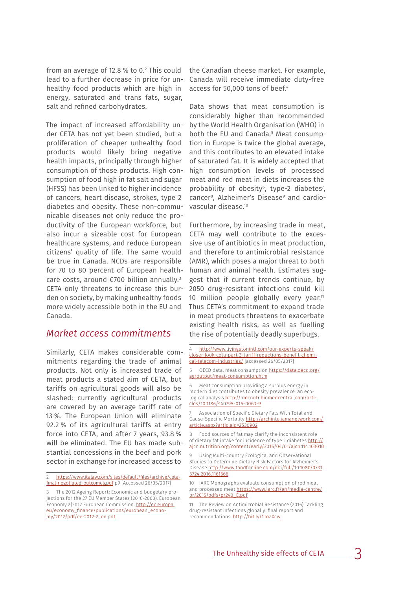from an average of 12.8 % to 0.2 This could lead to a further decrease in price for unhealthy food products which are high in energy, saturated and trans fats, sugar, salt and refined carbohydrates.

The impact of increased affordability under CETA has not yet been studied, but a proliferation of cheaper unhealthy food products would likely bring negative health impacts, principally through higher consumption of those products. High consumption of food high in fat salt and sugar (HFSS) has been linked to higher incidence of cancers, heart disease, strokes, type 2 diabetes and obesity. These non-communicable diseases not only reduce the productivity of the European workforce, but also incur a sizeable cost for European healthcare systems, and reduce European citizens' quality of life. The same would be true in Canada. NCDs are responsible for 70 to 80 percent of European healthcare costs, around €700 billion annually.3 CETA only threatens to increase this burden on society, by making unhealthy foods more widely accessible both in the EU and Canada.

## *Market access commitments*

Similarly, CETA makes considerable commitments regarding the trade of animal products. Not only is increased trade of meat products a stated aim of CETA, but tariffs on agricultural goods will also be slashed: currently agricultural products are covered by an average tariff rate of 13 %. The European Union will eliminate 92.2 % of its agricultural tariffs at entry force into CETA, and after 7 years, 93.8 % will be eliminated. The EU has made substantial concessions in the beef and pork sector in exchange for increased access to

[https://www.italaw.com/sites/default/files/archive/ceta](https://www.italaw.com/sites/default/files/archive/ceta-final-negotiated-outcomes.pdf)[final-negotiated-outcomes.pdf p9](https://www.italaw.com/sites/default/files/archive/ceta-final-negotiated-outcomes.pdf) [Accessed 26/05/2017]

the Canadian cheese market. For example, Canada will receive immediate duty-free access for 50,000 tons of beef.<sup>4</sup>

Data shows that meat consumption is considerably higher than recommended by the World Health Organisation (WHO) in both the EU and Canada.<sup>5</sup> Meat consumption in Europe is twice the global average, and this contributes to an elevated intake of saturated fat. It is widely accepted that high consumption levels of processed meat and red meat in diets increases the probability of obesity $6$ , type-2 diabetes<sup>7</sup>, cancer8, Alzheimer's Disease9 and cardiovascular disease.10

Furthermore, by increasing trade in meat, CETA may well contribute to the excessive use of antibiotics in meat production, and therefore to antimicrobial resistance (AMR), which poses a major threat to both human and animal health. Estimates suggest that if current trends continue, by 2050 drug-resistant infections could kill 10 million people globally every year.<sup>11</sup> Thus CETA's commitment to expand trade in meat products threatens to exacerbate existing health risks, as well as fuelling the rise of potentially deadly superbugs.

[http://www.livingstonintl.com/our-experts-speak/](http://www.livingstonintl.com/our-experts-speak/closer-look-ceta-part-3-tariff-reductions-benefit-chemical-telecom-industries/) [closer-look-ceta-part-3-tariff-reductions-benefit-chemi](http://www.livingstonintl.com/our-experts-speak/closer-look-ceta-part-3-tariff-reductions-benefit-chemical-telecom-industries/)[cal-telecom-industries/](http://www.livingstonintl.com/our-experts-speak/closer-look-ceta-part-3-tariff-reductions-benefit-chemical-telecom-industries/) [accessed 26/05/2017]

5 OECD data, meat consumption [https://data.oecd.org/](https://data.oecd.org/agroutput/meat-consumption.htm) [agroutput/meat-consumption.htm](https://data.oecd.org/agroutput/meat-consumption.htm)

6 Meat consumption providing a surplus energy in modern diet contributes to obesity prevalence: an ecological analysis [http://bmcnutr.biomedcentral.com/arti](http://bmcnutr.biomedcentral.com/articles/10.1186/s40795-016-0063-9)[cles/10.1186/s40795-016-0063-9](http://bmcnutr.biomedcentral.com/articles/10.1186/s40795-016-0063-9)

Association of Specific Dietary Fats With Total and Cause-Specific Mortality [http://archinte.jamanetwork.com/](http://archinte.jamanetwork.com/article.aspx?articleid=2530902) [article.aspx?articleid=2530902](http://archinte.jamanetwork.com/article.aspx?articleid=2530902)

8 Food sources of fat may clarify the inconsistent role of dietary fat intake for incidence of type 2 diabetes [http://](http://ajcn.nutrition.org/content/early/2015/04/01/ajcn.114.103010) [ajcn.nutrition.org/content/early/2015/04/01/ajcn.114.103010](http://ajcn.nutrition.org/content/early/2015/04/01/ajcn.114.103010) 

9 Using Multi-country Ecological and Observational Studies to Determine Dietary Risk Factors for Alzheimer's Disease [http://www.tandfonline.com/doi/full/10.1080/0731](http://www.tandfonline.com/doi/full/10.1080/07315724.2016.1161566) [5724.2016.1161566](http://www.tandfonline.com/doi/full/10.1080/07315724.2016.1161566)

10 IARC Monographs evaluate consumption of red meat and processed meat [https://www.iarc.fr/en/media-centre/](https://www.iarc.fr/en/media-centre/pr/2015/pdfs/pr240_E.pdf) [pr/2015/pdfs/pr240\\_E.pdf](https://www.iarc.fr/en/media-centre/pr/2015/pdfs/pr240_E.pdf)

11 The Review on Antimicrobial Resistance (2016) Tackling drug-resistant infections globally: final report and recommendations. <http://bit.ly/1ToZXcw>

<sup>3</sup> The 2012 Ageing Report: Economic and budgetary projections for the 27 EU Member States (2010-2060), European Economy 2|2012.European Commission. [http://ec.europa.](http://ec.europa.eu/economy_finance/publications/european_economy/2012/pdf/ee-2012-2_en.pdf) [eu/economy\\_finance/publications/european\\_econo](http://ec.europa.eu/economy_finance/publications/european_economy/2012/pdf/ee-2012-2_en.pdf)[my/2012/pdf/ee-2012-2\\_en.pdf](http://ec.europa.eu/economy_finance/publications/european_economy/2012/pdf/ee-2012-2_en.pdf)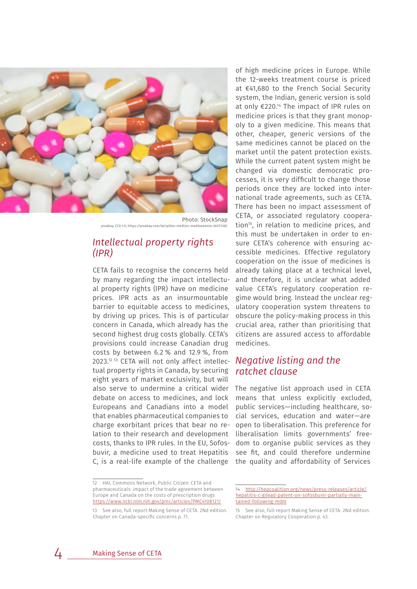

Photo: StockSnap pixabay, [CC0 1.0,](https://creativecommons.org/publicdomain/zero/1.0/)<https://pixabay.com/de/pillen-medizin-medikamente-2607338/>

## *Intellectual property rights (IPR)*

CETA fails to recognise the concerns held by many regarding the impact intellectual property rights (IPR) have on medicine prices. IPR acts as an insurmountable barrier to equitable access to medicines, by driving up prices. This is of particular concern in Canada, which already has the second highest drug costs globally. CETA's provisions could increase Canadian drug costs by between 6.2 % and 12.9 %, from 2023.12 13 CETA will not only affect intellectual property rights in Canada, by securing eight years of market exclusivity, but will also serve to undermine a critical wider The negative list approach used in CETA debate on access to medicines, and lock Europeans and Canadians into a model that enables pharmaceutical companies to charge exorbitant prices that bear no relation to their research and development costs, thanks to IPR rules. In the EU, Sofosbuvir, a medicine used to treat Hepatitis C, is a real-life example of the challenge

of high medicine prices in Europe. While the 12-weeks treatment course is priced at €41,680 to the French Social Security system, the Indian, generic version is sold at only  $\epsilon$ 220.<sup>14</sup> The impact of IPR rules on medicine prices is that they grant monopoly to a given medicine. This means that other, cheaper, generic versions of the same medicines cannot be placed on the market until the patent protection exists. While the current patent system might be changed via domestic democratic processes, it is very difficult to change those periods once they are locked into international trade agreements, such as CETA. There has been no impact assessment of CETA, or associated regulatory cooperation<sup>15</sup>, in relation to medicine prices, and this must be undertaken in order to ensure CETA's coherence with ensuring accessible medicines. Effective regulatory cooperation on the issue of medicines is already taking place at a technical level, and therefore, it is unclear what added value CETA's regulatory cooperation regime would bring. Instead the unclear regulatory cooperation system threatens to obscure the policy-making process in this crucial area, rather than prioritising that citizens are assured access to affordable medicines.

## *Negative listing and the ratchet clause*

means that unless explicitly excluded, public services—including healthcare, social services, education and water—are open to liberalisation. This preference for liberalisation limits governments' freedom to organise public services as they see fit, and could therefore undermine the quality and affordability of Services

<sup>12</sup> HAI, Commons Network, Public Citizen: CETA and pharmaceuticals: impact of the trade agreement between Europe and Canada on the costs of prescription drugs <https://www.ncbi.nlm.nih.gov/pmc/articles/PMC4108121/>

<sup>13</sup> See also, full report Making Sense of CETA. 2Nd edition. Chapter on Canada-specific concerns p. 71.

<sup>14</sup> [http://hepcoalition.org/news/press-releases/article/](http://hepcoalition.org/news/press-releases/article/hepatitis-c-gilead-patent-on-sofosbuvir-partially-maintained-following-mdm) [hepatitis-c-gilead-patent-on-sofosbuvir-partially-main](http://hepcoalition.org/news/press-releases/article/hepatitis-c-gilead-patent-on-sofosbuvir-partially-maintained-following-mdm)[tained-following-mdm](http://hepcoalition.org/news/press-releases/article/hepatitis-c-gilead-patent-on-sofosbuvir-partially-maintained-following-mdm)

<sup>15</sup> See also, full report Making Sense of CETA. 2Nd edition. Chapter on Regulatory Cooperation p. 43.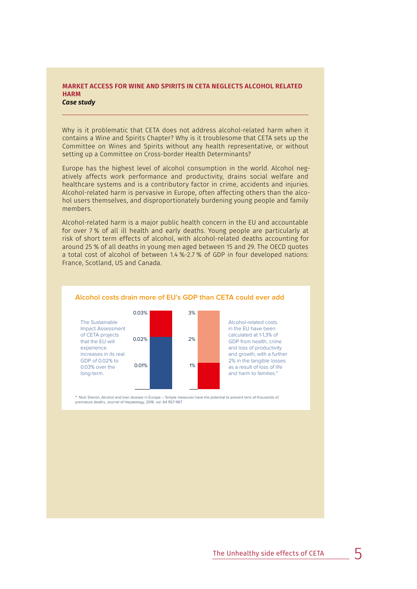#### **MARKET ACCESS FOR WINE AND SPIRITS IN CETA NEGLECTS ALCOHOL RELATED HARM** *Case study*

Why is it problematic that CETA does not address alcohol-related harm when it contains a Wine and Spirits Chapter? Why is it troublesome that CETA sets up the Committee on Wines and Spirits without any health representative, or without setting up a Committee on Cross-border Health Determinants?

Europe has the highest level of alcohol consumption in the world. Alcohol negatively affects work performance and productivity, drains social welfare and healthcare systems and is a contributory factor in crime, accidents and injuries. Alcohol-related harm is pervasive in Europe, often affecting others than the alcohol users themselves, and disproportionately burdening young people and family members.

Alcohol-related harm is a major public health concern in the EU and accountable for over 7 % of all ill health and early deaths. Young people are particularly at risk of short term effects of alcohol, with alcohol-related deaths accounting for around 25 % of all deaths in young men aged between 15 and 29. The OECD quotes a total cost of alcohol of between 1.4 %-2.7 % of GDP in four developed nations: France, Scotland, US and Canada.



#### **Alcohol costs drain more of EU's GDP than CETA could ever add**

\* Nick Sheron, Alcohol and liver disease in Europe – Simple measures have the potential to prevent tens of thousands of<br>premature deaths, Journal of Hepatology, 2016. vol. 64 957-967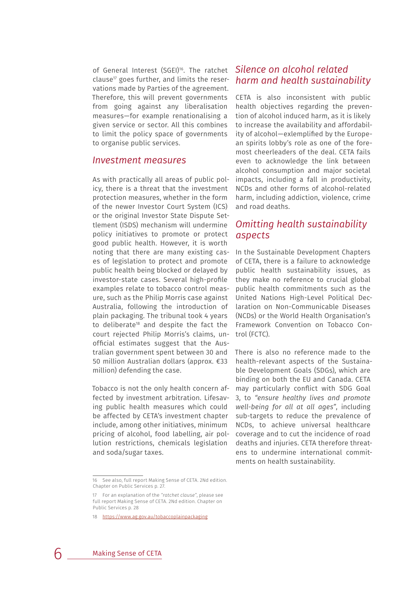of General Interest (SGEI)<sup>16</sup>. The ratchet clause<sup>17</sup> goes further, and limits the reservations made by Parties of the agreement. Therefore, this will prevent governments from going against any liberalisation measures—for example renationalising a given service or sector. All this combines to limit the policy space of governments to organise public services.

### *Investment measures*

As with practically all areas of public policy, there is a threat that the investment protection measures, whether in the form of the newer Investor Court System (ICS) or the original Investor State Dispute Settlement (ISDS) mechanism will undermine policy initiatives to promote or protect good public health. However, it is worth noting that there are many existing cases of legislation to protect and promote public health being blocked or delayed by investor-state cases. Several high-profile examples relate to tobacco control measure, such as the Philip Morris case against Australia, following the introduction of plain packaging. The tribunal took 4 years to deliberate<sup>18</sup> and despite the fact the court rejected Philip Morris's claims, unofficial estimates suggest that the Australian government spent between 30 and 50 million Australian dollars (approx. €33 million) defending the case.

Tobacco is not the only health concern affected by investment arbitration. Lifesaving public health measures which could be affected by CETA's investment chapter include, among other initiatives, minimum pricing of alcohol, food labelling, air pollution restrictions, chemicals legislation and soda/sugar taxes.

#### 16 See also, full report Making Sense of CETA. 2Nd edition. Chapter on Public Services p. 27.

## *Silence on alcohol related harm and health sustainability*

CETA is also inconsistent with public health objectives regarding the prevention of alcohol induced harm, as it is likely to increase the availability and affordability of alcohol—exlemplified by the European spirits lobby's role as one of the foremost cheerleaders of the deal. CETA fails even to acknowledge the link between alcohol consumption and major societal impacts, including a fall in productivity, NCDs and other forms of alcohol-related harm, including addiction, violence, crime and road deaths.

## *Omitting health sustainability aspects*

In the Sustainable Development Chapters of CETA, there is a failure to acknowledge public health sustainability issues, as they make no reference to crucial global public health commitments such as the United Nations High-Level Political Declaration on Non-Communicable Diseases (NCDs) or the World Health Organisation's Framework Convention on Tobacco Control (FCTC).

There is also no reference made to the health-relevant aspects of the Sustainable Development Goals (SDGs), which are binding on both the EU and Canada. CETA may particularly conflict with SDG Goal 3, to *"ensure healthy lives and promote well-being for all at all ages"*, including sub-targets to reduce the prevalence of NCDs, to achieve universal healthcare coverage and to cut the incidence of road deaths and injuries. CETA therefore threatens to undermine international commitments on health sustainability.

<sup>17</sup> For an explanation of the *"ratchet clause"*, please see full report Making Sense of CETA. 2Nd edition. Chapter on Public Services p. 28

<sup>18</sup> <https://www.ag.gov.au/tobaccoplainpackaging>